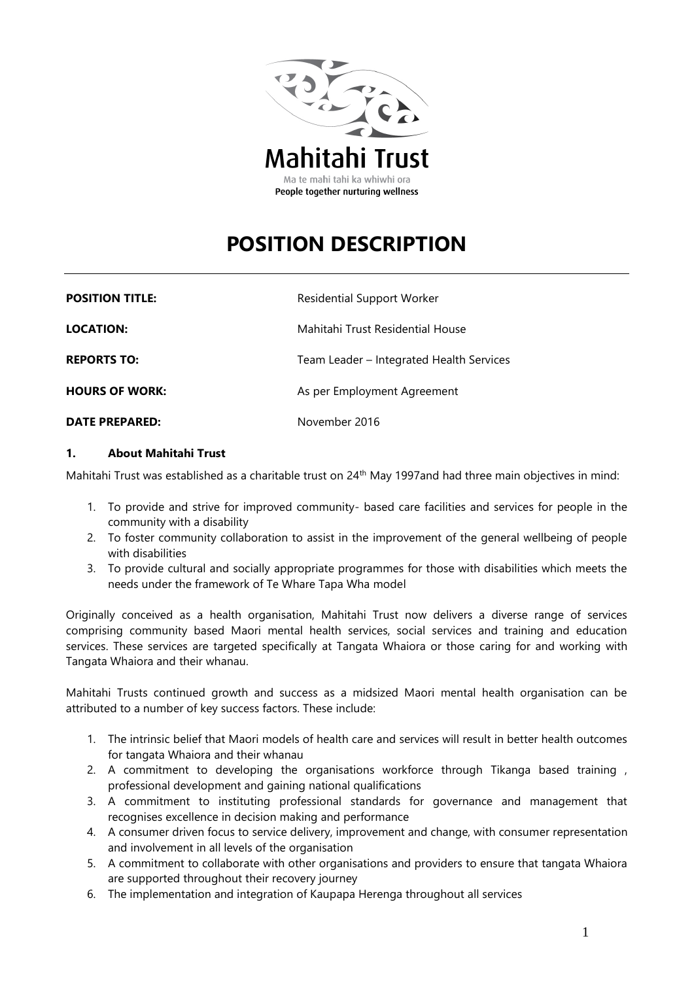

# **POSITION DESCRIPTION**

| <b>POSITION TITLE:</b> | <b>Residential Support Worker</b>        |
|------------------------|------------------------------------------|
| <b>LOCATION:</b>       | Mahitahi Trust Residential House         |
| <b>REPORTS TO:</b>     | Team Leader - Integrated Health Services |
| <b>HOURS OF WORK:</b>  | As per Employment Agreement              |
| <b>DATE PREPARED:</b>  | November 2016                            |

#### **1. About Mahitahi Trust**

Mahitahi Trust was established as a charitable trust on 24<sup>th</sup> May 1997and had three main objectives in mind:

- 1. To provide and strive for improved community- based care facilities and services for people in the community with a disability
- 2. To foster community collaboration to assist in the improvement of the general wellbeing of people with disabilities
- 3. To provide cultural and socially appropriate programmes for those with disabilities which meets the needs under the framework of Te Whare Tapa Wha model

Originally conceived as a health organisation, Mahitahi Trust now delivers a diverse range of services comprising community based Maori mental health services, social services and training and education services. These services are targeted specifically at Tangata Whaiora or those caring for and working with Tangata Whaiora and their whanau.

Mahitahi Trusts continued growth and success as a midsized Maori mental health organisation can be attributed to a number of key success factors. These include:

- 1. The intrinsic belief that Maori models of health care and services will result in better health outcomes for tangata Whaiora and their whanau
- 2. A commitment to developing the organisations workforce through Tikanga based training , professional development and gaining national qualifications
- 3. A commitment to instituting professional standards for governance and management that recognises excellence in decision making and performance
- 4. A consumer driven focus to service delivery, improvement and change, with consumer representation and involvement in all levels of the organisation
- 5. A commitment to collaborate with other organisations and providers to ensure that tangata Whaiora are supported throughout their recovery journey
- 6. The implementation and integration of Kaupapa Herenga throughout all services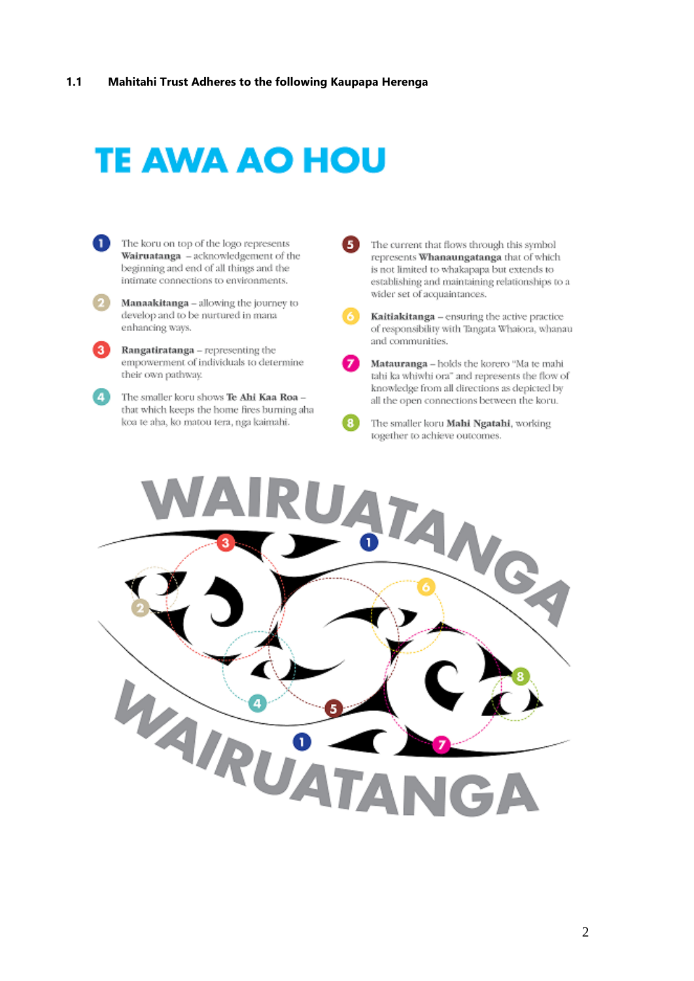# **TE AWA AO HOU**

- Ω The koru on top of the logo represents Wairuatanga - acknowledgement of the beginning and end of all things and the intimate connections to environments.
	- Manaakitanga allowing the journey to develop and to be nurtured in mana enhancing ways.
	- Rangatiratanga representing the empowerment of individuals to determine their own pathway.
- Œ The smaller koru shows Te Ahi Kaa Roa that which keeps the home fires burning aha koa te aha, ko matou tera, nga kaimahi.
- G The current that flows through this symbol represents Whanaungatanga that of which is not limited to whakapapa but extends to establishing and maintaining relationships to a wider set of acquaintances.
	- Kaitiakitanga ensuring the active practice of responsibility with Tangata Whaiora, whanau and communities.
- 

А

Matauranga - holds the korero "Ma te mahi tahi ka whiwhi ora" and represents the flow of knowledge from all directions as depicted by all the open connections between the koru.

Œ The smaller koru Mahi Ngatahi, working together to achieve outcomes.

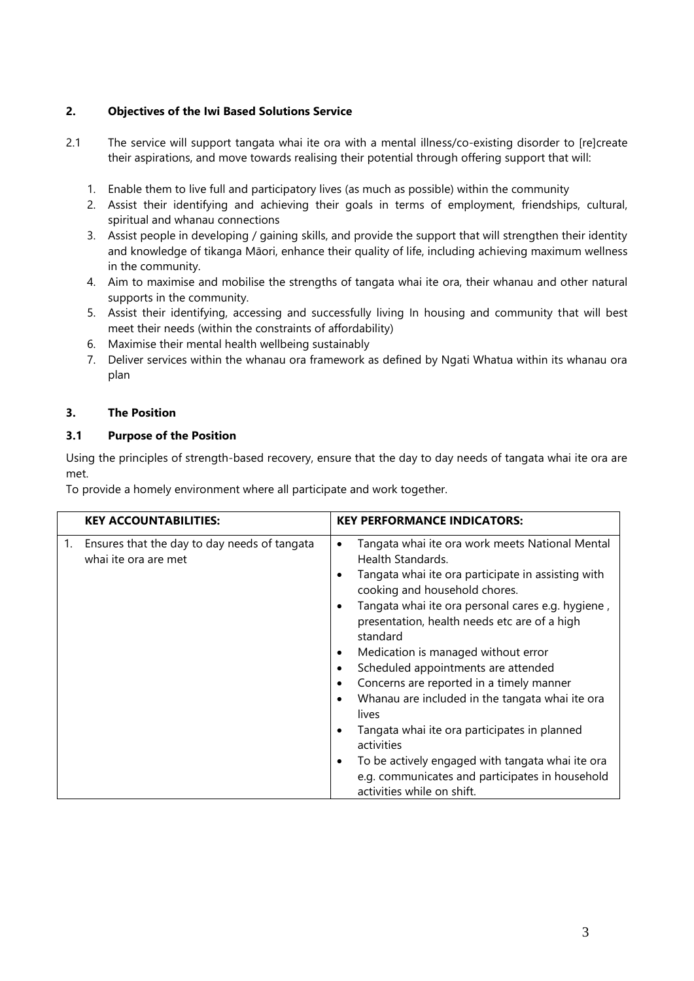# **2. Objectives of the Iwi Based Solutions Service**

- 2.1 The service will support tangata whai ite ora with a mental illness/co-existing disorder to [re]create their aspirations, and move towards realising their potential through offering support that will:
	- 1. Enable them to live full and participatory lives (as much as possible) within the community
	- 2. Assist their identifying and achieving their goals in terms of employment, friendships, cultural, spiritual and whanau connections
	- 3. Assist people in developing / gaining skills, and provide the support that will strengthen their identity and knowledge of tikanga Māori, enhance their quality of life, including achieving maximum wellness in the community.
	- 4. Aim to maximise and mobilise the strengths of tangata whai ite ora, their whanau and other natural supports in the community.
	- 5. Assist their identifying, accessing and successfully living In housing and community that will best meet their needs (within the constraints of affordability)
	- 6. Maximise their mental health wellbeing sustainably
	- 7. Deliver services within the whanau ora framework as defined by Ngati Whatua within its whanau ora plan

#### **3. The Position**

#### **3.1 Purpose of the Position**

Using the principles of strength-based recovery, ensure that the day to day needs of tangata whai ite ora are met.

To provide a homely environment where all participate and work together.

| <b>KEY ACCOUNTABILITIES:</b>                                               | <b>KEY PERFORMANCE INDICATORS:</b>                                                                                                                                                                                                                                                                                                                                                                                                                                                                                                                                                                                                                                                                          |
|----------------------------------------------------------------------------|-------------------------------------------------------------------------------------------------------------------------------------------------------------------------------------------------------------------------------------------------------------------------------------------------------------------------------------------------------------------------------------------------------------------------------------------------------------------------------------------------------------------------------------------------------------------------------------------------------------------------------------------------------------------------------------------------------------|
| Ensures that the day to day needs of tangata<br>1.<br>whai ite ora are met | Tangata whai ite ora work meets National Mental<br>٠<br>Health Standards.<br>Tangata whai ite ora participate in assisting with<br>cooking and household chores.<br>Tangata whai ite ora personal cares e.g. hygiene,<br>presentation, health needs etc are of a high<br>standard<br>Medication is managed without error<br>٠<br>Scheduled appointments are attended<br>٠<br>Concerns are reported in a timely manner<br>٠<br>Whanau are included in the tangata whai ite ora<br>$\bullet$<br>lives<br>Tangata whai ite ora participates in planned<br>activities<br>To be actively engaged with tangata whai ite ora<br>٠<br>e.g. communicates and participates in household<br>activities while on shift. |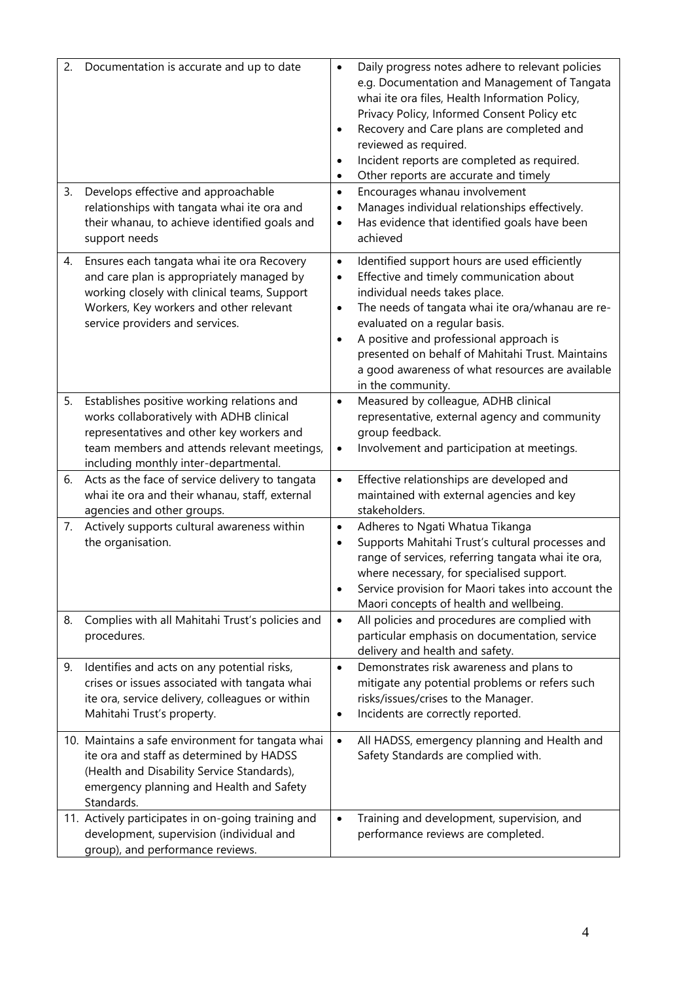| 2. | Documentation is accurate and up to date                                                                                                                                                                                    | $\bullet$<br>$\bullet$                           | Daily progress notes adhere to relevant policies<br>e.g. Documentation and Management of Tangata<br>whai ite ora files, Health Information Policy,<br>Privacy Policy, Informed Consent Policy etc<br>Recovery and Care plans are completed and                                                                                                                                          |
|----|-----------------------------------------------------------------------------------------------------------------------------------------------------------------------------------------------------------------------------|--------------------------------------------------|-----------------------------------------------------------------------------------------------------------------------------------------------------------------------------------------------------------------------------------------------------------------------------------------------------------------------------------------------------------------------------------------|
|    |                                                                                                                                                                                                                             | $\bullet$<br>$\bullet$                           | reviewed as required.<br>Incident reports are completed as required.<br>Other reports are accurate and timely                                                                                                                                                                                                                                                                           |
| 3. | Develops effective and approachable<br>relationships with tangata whai ite ora and<br>their whanau, to achieve identified goals and<br>support needs                                                                        | $\bullet$<br>$\bullet$<br>$\bullet$              | Encourages whanau involvement<br>Manages individual relationships effectively.<br>Has evidence that identified goals have been<br>achieved                                                                                                                                                                                                                                              |
| 4. | Ensures each tangata whai ite ora Recovery<br>and care plan is appropriately managed by<br>working closely with clinical teams, Support<br>Workers, Key workers and other relevant<br>service providers and services.       | $\bullet$<br>$\bullet$<br>$\bullet$<br>$\bullet$ | Identified support hours are used efficiently<br>Effective and timely communication about<br>individual needs takes place.<br>The needs of tangata whai ite ora/whanau are re-<br>evaluated on a regular basis.<br>A positive and professional approach is<br>presented on behalf of Mahitahi Trust. Maintains<br>a good awareness of what resources are available<br>in the community. |
| 5. | Establishes positive working relations and<br>works collaboratively with ADHB clinical<br>representatives and other key workers and<br>team members and attends relevant meetings,<br>including monthly inter-departmental. | $\bullet$<br>$\bullet$                           | Measured by colleague, ADHB clinical<br>representative, external agency and community<br>group feedback.<br>Involvement and participation at meetings.                                                                                                                                                                                                                                  |
| 6. | Acts as the face of service delivery to tangata<br>whai ite ora and their whanau, staff, external<br>agencies and other groups.                                                                                             | $\bullet$                                        | Effective relationships are developed and<br>maintained with external agencies and key<br>stakeholders.                                                                                                                                                                                                                                                                                 |
| 7. | Actively supports cultural awareness within<br>the organisation.                                                                                                                                                            | $\bullet$<br>$\bullet$<br>$\bullet$              | Adheres to Ngati Whatua Tikanga<br>Supports Mahitahi Trust's cultural processes and<br>range of services, referring tangata whai ite ora,<br>where necessary, for specialised support.<br>Service provision for Maori takes into account the<br>Maori concepts of health and wellbeing.                                                                                                 |
| 8. | Complies with all Mahitahi Trust's policies and<br>procedures.                                                                                                                                                              | $\bullet$                                        | All policies and procedures are complied with<br>particular emphasis on documentation, service<br>delivery and health and safety.                                                                                                                                                                                                                                                       |
| 9. | Identifies and acts on any potential risks,<br>crises or issues associated with tangata whai<br>ite ora, service delivery, colleagues or within<br>Mahitahi Trust's property.                                               | $\bullet$<br>$\bullet$                           | Demonstrates risk awareness and plans to<br>mitigate any potential problems or refers such<br>risks/issues/crises to the Manager.<br>Incidents are correctly reported.                                                                                                                                                                                                                  |
|    | 10. Maintains a safe environment for tangata whai<br>ite ora and staff as determined by HADSS<br>(Health and Disability Service Standards),<br>emergency planning and Health and Safety<br>Standards.                       | $\bullet$                                        | All HADSS, emergency planning and Health and<br>Safety Standards are complied with.                                                                                                                                                                                                                                                                                                     |
|    | 11. Actively participates in on-going training and<br>development, supervision (individual and<br>group), and performance reviews.                                                                                          | $\bullet$                                        | Training and development, supervision, and<br>performance reviews are completed.                                                                                                                                                                                                                                                                                                        |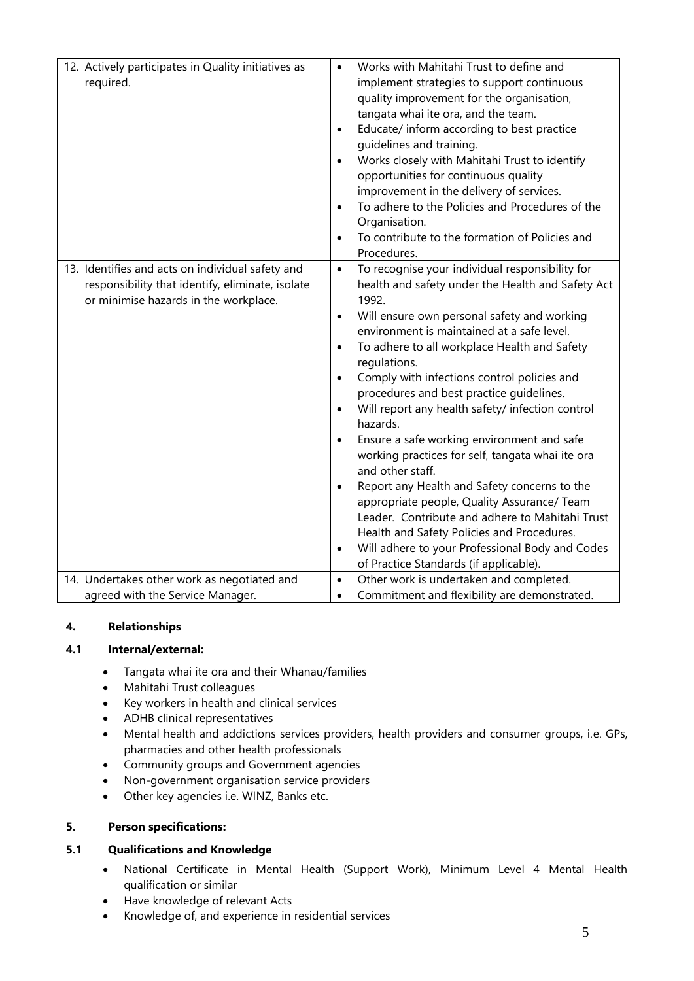| 12. Actively participates in Quality initiatives as<br>required. | Works with Mahitahi Trust to define and<br>implement strategies to support continuous<br>quality improvement for the organisation,<br>tangata whai ite ora, and the team.<br>Educate/ inform according to best practice<br>$\bullet$ |
|------------------------------------------------------------------|--------------------------------------------------------------------------------------------------------------------------------------------------------------------------------------------------------------------------------------|
|                                                                  | guidelines and training.                                                                                                                                                                                                             |
|                                                                  | Works closely with Mahitahi Trust to identify<br>$\bullet$<br>opportunities for continuous quality                                                                                                                                   |
|                                                                  | improvement in the delivery of services.                                                                                                                                                                                             |
|                                                                  | To adhere to the Policies and Procedures of the<br>$\bullet$                                                                                                                                                                         |
|                                                                  | Organisation.                                                                                                                                                                                                                        |
|                                                                  | To contribute to the formation of Policies and<br>$\bullet$<br>Procedures.                                                                                                                                                           |
| 13. Identifies and acts on individual safety and                 | To recognise your individual responsibility for<br>$\bullet$                                                                                                                                                                         |
| responsibility that identify, eliminate, isolate                 | health and safety under the Health and Safety Act                                                                                                                                                                                    |
| or minimise hazards in the workplace.                            | 1992.<br>Will ensure own personal safety and working<br>$\bullet$                                                                                                                                                                    |
|                                                                  | environment is maintained at a safe level.                                                                                                                                                                                           |
|                                                                  | To adhere to all workplace Health and Safety<br>$\bullet$                                                                                                                                                                            |
|                                                                  | regulations.                                                                                                                                                                                                                         |
|                                                                  | Comply with infections control policies and<br>$\bullet$                                                                                                                                                                             |
|                                                                  | procedures and best practice quidelines.<br>Will report any health safety/ infection control<br>$\bullet$                                                                                                                            |
|                                                                  | hazards.                                                                                                                                                                                                                             |
|                                                                  | Ensure a safe working environment and safe<br>$\bullet$                                                                                                                                                                              |
|                                                                  | working practices for self, tangata whai ite ora                                                                                                                                                                                     |
|                                                                  | and other staff.<br>Report any Health and Safety concerns to the<br>$\bullet$                                                                                                                                                        |
|                                                                  | appropriate people, Quality Assurance/ Team                                                                                                                                                                                          |
|                                                                  | Leader. Contribute and adhere to Mahitahi Trust                                                                                                                                                                                      |
|                                                                  | Health and Safety Policies and Procedures.                                                                                                                                                                                           |
|                                                                  | Will adhere to your Professional Body and Codes<br>$\bullet$                                                                                                                                                                         |
|                                                                  | of Practice Standards (if applicable).                                                                                                                                                                                               |
| 14. Undertakes other work as negotiated and                      | Other work is undertaken and completed.<br>$\bullet$                                                                                                                                                                                 |
| agreed with the Service Manager.                                 | Commitment and flexibility are demonstrated.<br>$\bullet$                                                                                                                                                                            |

# **4. Relationships**

#### **4.1 Internal/external:**

- Tangata whai ite ora and their Whanau/families
- Mahitahi Trust colleagues
- Key workers in health and clinical services
- ADHB clinical representatives
- Mental health and addictions services providers, health providers and consumer groups, i.e. GPs, pharmacies and other health professionals
- Community groups and Government agencies
- Non-government organisation service providers
- Other key agencies i.e. WINZ, Banks etc.

# **5. Person specifications:**

### **5.1 Qualifications and Knowledge**

- National Certificate in Mental Health (Support Work), Minimum Level 4 Mental Health qualification or similar
- Have knowledge of relevant Acts
- Knowledge of, and experience in residential services